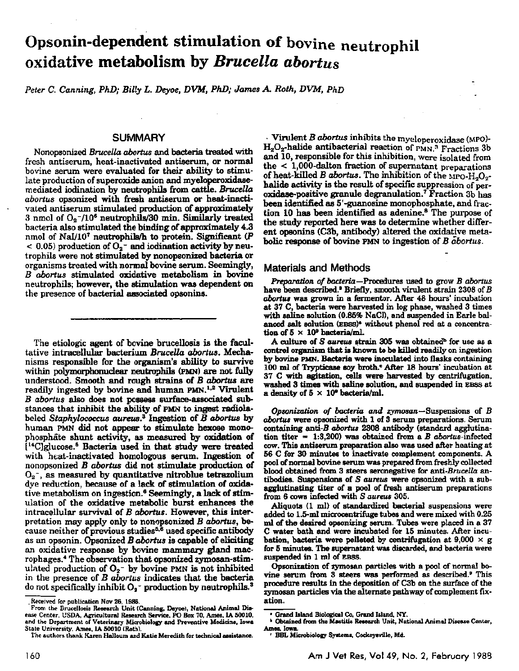# Opsonin-dependent stimulation of bovine neutrophil oxidative metabolism by *Brucella abortus*

*Peter C. Canning, PhD; Billy L. Deyoe, DVM, PhD; James A. Roth, DVM, PhD* 

# **SUMMARY**

Nonopsonized *Brucella abortus* and bacteria treated with fresh antiserum, heat-inactivated antiserum, or normal bovine serum were evaluated for their ability to stimulate production of superoxide anion and myeloperoxidasemediated iodination by neutrophils from cattle. *Brucella abortus* opsonized with fresh antiserum or beat-inactivated antiserum stimulated production of approximately 3 nmol of  $O_2$ -/10<sup>6</sup> neutrophils/30 min. Similarly treated bacteria also stimulated the binding of approximately 4.3 nmol of Nal/10<sup>7</sup> neutrophils/h to protein. Significant  $(P)$  $<$  0.05) production of  $O_2^-$  and iodination activity by neutrophils were not stimulated by nonopsonized bacteria or organisms treated with normal bovine serum. Seemingly, B *abortus* stimulated oxidative metabolism in bovine neutrophils; however, the stimulation was dependent on the presence of bacterial associated opsonins.

The etiologic agent of bovine brucellosis is the facultative intracellular bacterium *Brucella abortua.* Mechanisms responsible for the organism's ability to survive within polymorphonuclear neutrophils (PMN) are not fully understood. Smooth and rough strains of *B abortus* are readily ingested by bovine and human PMN.<sup>1,2</sup> Virulent B *abortus* also does not possess surface-associated substances that inhibit the ability of PMN to ingest radiolabeled *Staphylococcus aureus.3* Ingestion of *B abortus* by human PMN did not appear to stimulate hexose monophosphate shunt activity, as measured by oxidation of  $[$ <sup>14</sup>C]glucose.<sup>5</sup> Bacteria used in that study were treated with heat-inactivated homologous serum. Ingestion of nonopsonized B *abortus* did not stimulate production of  $O_2$ , as measured by quantitative nitroblue tetrazolium dye reduction, because of a lack of stimulation of oxidative metabolism on ingestion.<sup>6</sup> Seemingly, a lack of stimulation of the oxidative metabolic burst enhances the intracellular survival of *B abortus.* However, this interpretation may apply only to nonopsonized B *abortus,* because neither of previous studies<sup>5,6</sup> used specific antibody as an opsonin. Opsonized B *abortus* is capable of eliciting an oxidative response by bevine mammary gland macrophages.<sup>4</sup> The observation that opsonized zymosan-stimulated production of  $O_2$ <sup>-</sup> by bovine PMN is not inhibited in the presence of B *abortus* indicates that the bacteria do not specifically inhibit  $O_2$ <sup>-</sup> production by neutrophils.<sup>3</sup>

· Virulent *B abortus* inhibits the myeloperoxidase (MPO)- H<sub>2</sub>O<sub>2</sub>-halide antibacterial reaction of PMN.<sup>3</sup> Fractions 3b and 10, responsible for this inhibition, were isolated from the < 1,000-dalton fraction of supernatant preparations of heat-killed B *abortus*. The inhibition of the  $_{\rm MPO\text{-}H_{2}O_{2}}$ halide activity is the result of specific suppression of peroxidase-positive granule degranulation.7 Fraction 3b has been identified as 5' -guanosine monophosphate, and frac· tion 10 has been identified as adenine.8 The purpose of the study reported here was to determine whether different opsonins (C3b, antibody) altered the oxidative metabolic response of bovine PMN to ingestion of *B* abortus.

### Materials and Methods

*Preparation of bacteria-*Procedures used to grow *B abortus*  have been described.<sup>3</sup> Briefly, smooth virulent strain 2308 of B *abortua* was grown in a fermentor. After 48 hours' incubation at 37 C, bacteria were harvested in log phase, washed 3 times with saline solution (0.85% NaCl), and suspended in Earle balanced salt solution (EBSS)<sup>•</sup> without phenol red at a concentration of  $5 \times 10^9$  bacteria/ml.

A culture of *S aureus* strain 305 was obtained<sup>b</sup> for use as a control organism that is known to be killed readily on ingestion by bovine PMN. Bacteria were inoculated into flasks containing 100 ml of Trypticase soy broth.<sup>e</sup> After 18 hours' incubation at 37 C with agitation, cells were harvested by centrifugation, washed 3 times with aaline solution, and suspended in EBSS at a density of  $5 \times 10^9$  bacteria/ml.

*Opsonization of bacteria and* zymosan-Suspensions of *B*  abortus were opsonized with 1 of 3 serum preparations. Serum containing anti-B *abortus* 2308 antibody (standard agglutination titer  $= 1:3,200$ ) was obtained from a *B abortus*-infected cow. This antiserum preparation also was used after heating at 56 C for 30 minutes to inactivate complement components. A pool of normal bovine serum was prepared from freshly collected blood obtained from 3 steers seronegative for *anti-Brucella* an· tibodiee. Suspensions of *S aureus* were opsonized with a sub· agglutinating titer of a pool of fresh antiserum preparations from 6 cows infected with *S aureus* 305.

Aliquots  $(1 \text{ ml})$  of standardized bacterial suspensions were added to 1.5-ml microcentrifuge tubes and were mixed with 0.25 ml of the desired opsonizing serum. Tubes were placed in a 37 C water bath and were incubated for 15 minutes. After incu· bation, bacteria were pelleted by centrifugation at  $9,000 \times g$ for 5 minutes. The supernatant was discarded, and bacteria were suspended in 1 ml of EBSS.

Opsonization of zymosan particles with a pool of normal bovine serum from 3 steers was performed as described.<sup>9</sup> This procedure results in the depoaition of C3b on the surface of the zymosan particles via the alternate pathway of complement fixation.

\_Received for publication Nov 26, 1986.

From the Brucellosis Research Unit (Canning, Deyoe), National Animal Disease Center, USDA, Agricultural Research Service, PO Box 70, Ames, IA 50010, and the Department of Veterinary Microbiology and Preventive Medicine, Iowa State University, Ames, IA 50010 (Roth).

The authors thank Karen Halloum and Katie Meredith for technical assistance.

<sup>•</sup> Grand bland Biological Co, Grand bland, NY.

virame island Elological Co, Graini Island, N.E.<br>b Obtained from the Mastitis Research Unit, National Animal Disease Center,<br>Ames. Iowa.

<sup>•</sup> BBL MicrobioJoo Symtem&. Cockeygyille, Md.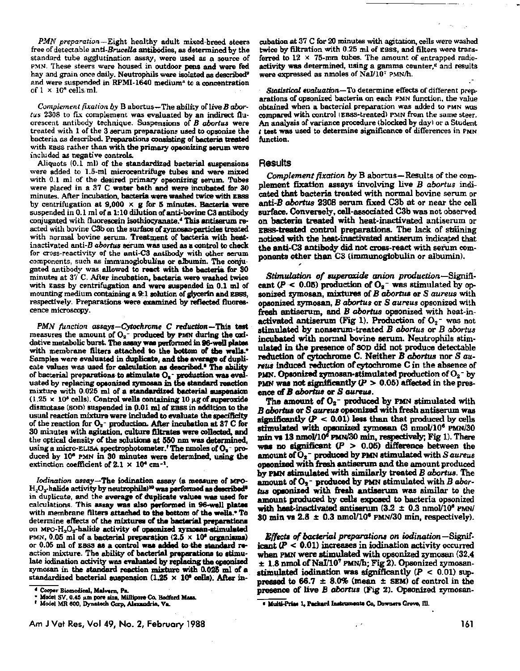*PMN preparation*-Eight healthy adult mixed-breed steers free of detectable anti-Brucella antibodies, as determined by the standard tube agglutination assay, were used as a source of PMN. These steers were housed in outdoor pens and were fed hay and grain once daily. Neutrophils were isolated as described<sup>9</sup> and were suspended in RPMI-1640 medium" to a concentration of  $1 \times 10^{n}$  cells ml.

*Complement fixation by* B abortus-The ability of live *B abor*tus 2308 to fix complement was evaluated by an indirect fluorescent antibody technique. Suspensions of *B abortus* were treated with 1 of the 3 serum preparations used to opsonize the bacteria as described. Preparations consisting of bacteria treated with EBSS rather than with the primary opeonizing serum were included as negative controls.

Aliquots  $(0.1 \text{ ml})$  of the standardized bacterial suspensions were added to 1.5-ml microcentrifuge tubes and were mixed with 0.1 ml of the desired primary opeonizing serum. Tubes were placed in a 37 C water bath and were incubated tor 30 minutes. After incubation, bacteria were washed twice with BBSS by centrifugation at 9,000  $\times$  g for 5 minutes. Bacteria were suspended in 0.1 ml of a 1:10 dilution of anti-bovine C3 antibody conjugated with fluorescein isothioeyanate.4 This antiaerum reacted with bovine C3b on the surface of zymosan-particles treated with normal bovine serum. Treatment of bacteria with beatinactivated anti-B *abortus* serum was used as a control to cheek for cross-reactivity of the anti-C3 antibody with other serum components, such as immunoglobulins or a.'bumin. The conjugated antibody was allowed to react with the bacteria for 30 minutes at *3'i* C. After incubation, bacteria were wuhed twice with EBSS by centrifugation and were suspended in 0.1 ml of mounting medium containing a 9:1 solution of glycerin and EBSS, respectively. Preparations were examined by reflected fluorescence microscopy.

PMN function assays-Cytochrome C reduction-This test measures the amount of  $O<sub>2</sub>$ - produced by PMN during the oxidative metabolic burst. The assay was performed in 96-well plates with membrane filters attached to the bottom of the wells.<sup>•</sup> Samples were evaluated in duplicate, and the average of duplicate values was used for calculation as described.<sup>4</sup> The ability of bacterial preparations-to-stimulate  $O_1$ -production was evaluated by replacing optonized zymosan in the standard reaction mixture with 0.025 ml of a standardized bacterial suapenaion  $(1.25 \times 10^5 \text{ cells})$ . Control wells containing 10  $\mu$ g of superoxide dismutase (SOD) suspended in 0.01 ml of EBSS in addition to the usual reaction mixture were included to evaluate the apecificity of the reaction for  $O_2$ - production. After incubation at 37 C for SO minutes with agitation, culture 61trates were coDected, and the optical density of the solutiona at 560 nm was determined, using a micro-ELISA spectrophotometer.' The nmoles of  $O<sub>2</sub>$  - produced by 10<sup>6</sup> PMN in 30 minutes were determined, using the extinction coefficient of  $2.1 \times 10^4$  cm<sup>-1</sup>.

*lodination assay*-The iodination assay (a measure of MPO- $H_2O_2$ -halide activity by neutrophils)<sup>10</sup> was performed as described<sup>s</sup> in duplicate, and the average of duplicate values was used for calculations. This assay was also performed in 96-well plates with membrane filters attached to the bottom of the wells.<sup>•</sup> To determine effects of the mixtures of the bacterial preparations on MPO- $H_2O_2$ -halide activity of opeonized symosan-stimulated PMN, 0.05 ml of a bacterial preparation  $(2.5 \times 10^8 \text{ erganisms})$ or 0.05 ml of EBSS as a control was added to the standard reaction mixture. The ability of bacterial preparations to stimulate iodination activity was evaluated by replacing the opeonized zymosan in the standard reaction mixture with 0.02& ml of a standardized bacterial suspension  $(1.25 \times 10^6 \text{ cells})$ . After in-

4 Cooper Biomedical, Malvern, Pa.<br>• Model SV, 0.45 µm pore sixe, Millipore Co. Bedford Mass.<br><sup>†</sup> Model MR 800, Dynatech Corp, Alexandria, Va.

cubatioo at 37 C for 20 minutes with agitation, cells were washed twice by filtration with 0.25 ml of EBSS, and filters were transferred to  $12 \times 75$ -mm tubes. The amount of entrapped radioactivity was determined, using a gamma counter,<sup>«</sup> and results were expressed as nmoles of  $NaI/10^7$  PMN/h.

*Statistical evaluation*-To determine effects of different preparations of opsonized bacteria on each PMN function, the value obtained when a bacterial preparation was added to PMN was compared with control (EBSS-treated) PMN from the same steer. An analysis of variance procedure (blocked by day) or a Student t teet was used to determine significance of differences in PMN function.

#### Results

*Complement fixation. by* B abortus-Results of the com· plement fixation assays involving live *B abortus* indicated that bacteria treated with normal bovine serum or anti-B *abortus* 2308 serum fixed C3b at or near the cell surface. Convenely, cell-associated C3b was not observed on bacteria treated with heat-inactivated antiserum or EBSS-treated control preparations. The lack of staining noticed with the heat-inactivated antiserum indicated that the anti.-C3 antibody did not cross· react with sefum components other than C3 (immunoglobulin or albumin).

Stimulation of *superoxide* anion production-Significant ( $P < 0.05$ ) production of  $O<sub>2</sub>$  was stimulated by opsonized zymosan, mixtures of B *abortus* or S *aureua* with opaonized zymoaan, *B abortus* or *S aureus* opsonized with fresh antiserum, and B *abortus* opsonized with heat-in· activated antiserum (Fig 1). Production of  $O<sub>2</sub>$  was not stimulated by nonserum-treated *B abortus* or *B abortus*  incubated with normal bovine serum. Neutrophils stimulated in the presence of SOD did not produce detectable reduction of cytochrome C. Neither *B abortus* nor *S aureus* induced reduction of cytochrome C in the absence of PMN. Opsonized zymosan-stimulated production of  $O_2$ <sup>-</sup> by PMN was not significantly  $(P > 0.05)$  affected in the presence *oC* B *abortua* or S *aureus.* 

The amount of  $O_2$ - produced by PMN stimulated with *B abortus* or *S aureus* opsonized with fresh antiserum was significantly  $(P < 0.01)$  less than that produced by cells stimulated with opsonized zymosan (3 nmol/10<sup>6</sup> PMN/30 min vs 13 nmol/10<sup>6</sup> PMN/30 min, respectively; Fig 1). There was no significant  $(P > 0.05)$  difference between the amount of  $O_2$ <sup>-</sup> produced by PMN stimulated with *S aureus* apeonized with fresh antiserum and the amount produced by PUN' atimulated with sjmj1arly treated B *abortua.* The amount of O<sub>2</sub><sup>-</sup> produced by PMN stimulated with B abortus opsonized with fresh antiserum was similar to the amount produced by cells expoaed to bacteria opsonized with heat-inactivated antiserum  $(3.2 \pm 0.3 \text{ nmol}/10^8 \text{ PMN})$ 30 min vs  $2.8 \pm 0.3$  nmol/10<sup>6</sup> PMN/30 min, respectively).

*Effects of bacterial preparations on iodination***—Signif**icant  $(P < 0.01)$  increases in iodination activity occurred when PMN were stimulated with opsonized zymosan (32.4)  $\pm$  1.8 nmol of NaI/10<sup>7</sup> PMN/h; Fig 2). Opsonized zymosanstimulated iodination was significantly  $(P < 0.01)$  suppressed to 66.7  $\pm$  8.0% (mean  $\pm$  SEM) of control in the presence of live B *abortus* (Fig 2). Opsonized zymosan-

<sup>e</sup> Multi-Prim 1, Packard Instruments Co. Downers Grove, Ill.

161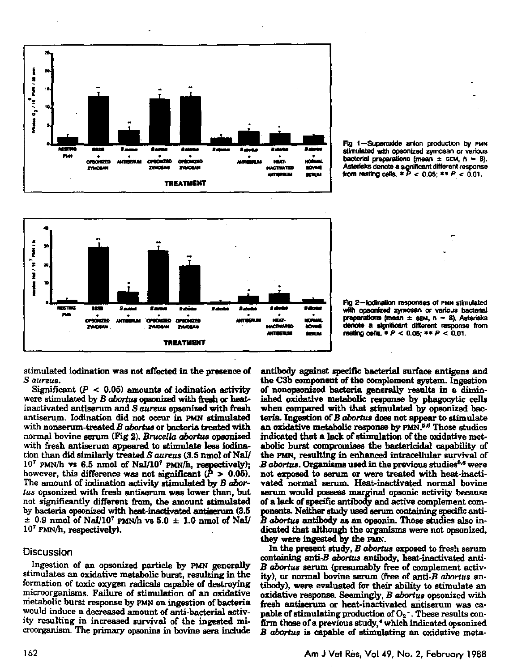

Fig 1-Superoxide anion production by PMN stimulated with opsonized zymosan or various bacterial preparations (mean  $\pm$  SEM, n = 8). Asterisks denote a significant different response from resting cells.  $* P < 0.05$ ;  $** P < 0.01$ .



Fig 2-fodination responses of PMN stimulated with opsonized zymosan or various bacterial preparations (mean  $\pm$  sem, n = 8). Asterisks denote a significant different response from resting cells,  $P < 0.05$ ;  $*+P < 0.01$ .

stimulated iodination was not affected in the presence of S aureus.

Significant ( $P < 0.05$ ) amounts of iodination activity were stimulated by B abortus opsonized with fresh or heatinactivated antiserum and S *aureus* opsonized with fresh antiserum. Iodination did not occur in PMN stimulated with nonserum-treated B abortus or bacteria treated with normal bovine serum (Fig 2). Brucella abortus opsonized with fresh antiserum appeared to stimulate less iodination than did similarly treated S aureus (3.5 nmol of NaI/  $10^7$  PMN/h vs 6.5 nmol of NaI/10<sup>7</sup> PMN/h, respectively); however, this difference was not significant ( $\bar{P} > 0.05$ ). The amount of iodination activity stimulated by B abortus opsonized with fresh antiserum was lower than, but not significantly different from, the amount stimulated by bacteria opsonized with heat-inactivated antiserum (3.5  $\pm$  0.9 nmol of NaI/10<sup>7</sup> PMN/h vs 5.0  $\pm$  1.0 nmol of NaI/ 107 PMN/h, respectively).

## Discussion

Ingestion of an opsonized particle by PMN generally stimulates an oxidative metabolic burst, resulting in the formation of toxic oxygen radicals capable of destroying microorganisms. Failure of stimulation of an oxidative metabolic burst response by PMN on ingestion of bacteria would induce a decreased amount of anti-bacterial activity resulting in increased survival of the ingested microorganism. The primary opsonins in bovine sera include

antibody against specific bacterial surface antigens and the C3b component of the complement system. Ingestion of nonopsonized bacteria generally results in a diminished oxidative metabolic response by phagocytic cells when compared with that stimulated by opsonized bacteria. Ingestion of  $B$  abortus does not appear to stimulate an oxidative metabolic response by PMN.<sup>5,6</sup> Those studies indicated that a lack of stimulation of the oxidative metabolic burst compromises the bactericidal capability of the PMN, resulting in enhanced intracellular survival of B abortus. Organisms used in the previous studies<sup>5,6</sup> were not exposed to serum or were treated with heat-inactivated normal serum. Heat-inactivated normal bovine serum would possess marginal opsonic activity because of a lack of specific antibody and active complement components. Neither study used serum containing specific anti-B abortus antibody as an opsonin. Those studies also indicated that although the organisms were not opsonized, they were ingested by the PMN.

In the present study, B abortus exposed to fresh serum containing anti-B abortus antibody, heat-inactivated anti-B abortus serum (presumably free of complement activity), or normal bovine serum (free of anti-B abortus antibody), were evaluated for their ability to stimulate an oxidative response. Seemingly, B abortus opsonized with fresh antiserum or heat-inactivated antiserum was capable of stimulating production of  $O_2$ . These results confirm those of a previous study,<sup>4</sup> which indicated opsonized B abortus is capable of stimulating an oxidative meta